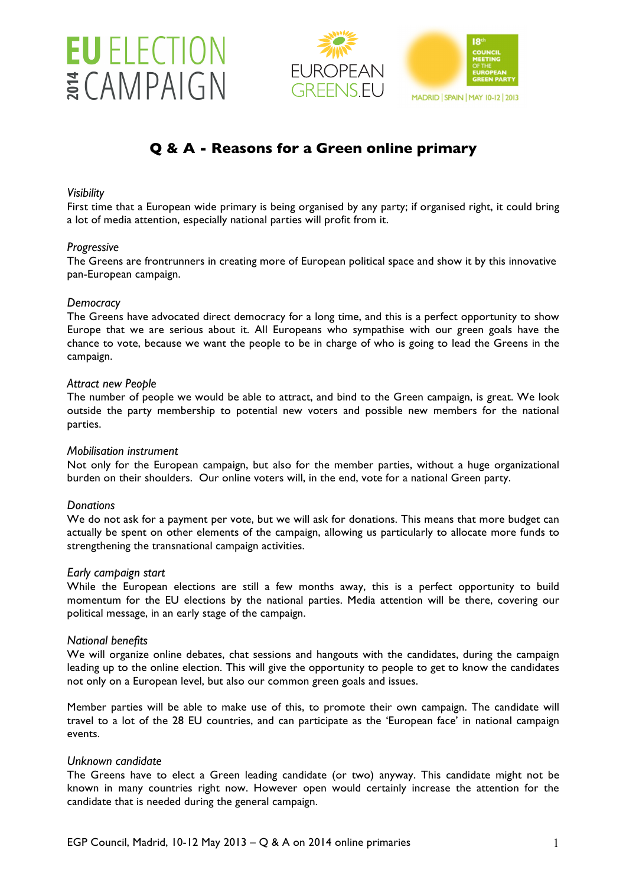





**MADRID | SPAIN | MAY 10-12 | 2013** 

# **Q & A - Reasons for a Green online primary**

### *Visibility*

First time that a European wide primary is being organised by any party; if organised right, it could bring a lot of media attention, especially national parties will profit from it.

### *Progressive*

The Greens are frontrunners in creating more of European political space and show it by this innovative pan-European campaign.

### *Democracy*

The Greens have advocated direct democracy for a long time, and this is a perfect opportunity to show Europe that we are serious about it. All Europeans who sympathise with our green goals have the chance to vote, because we want the people to be in charge of who is going to lead the Greens in the campaign.

### *Attract new People*

The number of people we would be able to attract, and bind to the Green campaign, is great. We look outside the party membership to potential new voters and possible new members for the national parties.

### *Mobilisation instrument*

Not only for the European campaign, but also for the member parties, without a huge organizational burden on their shoulders. Our online voters will, in the end, vote for a national Green party.

## *Donations*

We do not ask for a payment per vote, but we will ask for donations. This means that more budget can actually be spent on other elements of the campaign, allowing us particularly to allocate more funds to strengthening the transnational campaign activities.

### *Early campaign start*

While the European elections are still a few months away, this is a perfect opportunity to build momentum for the EU elections by the national parties. Media attention will be there, covering our political message, in an early stage of the campaign.

### *National benefits*

We will organize online debates, chat sessions and hangouts with the candidates, during the campaign leading up to the online election. This will give the opportunity to people to get to know the candidates not only on a European level, but also our common green goals and issues.

Member parties will be able to make use of this, to promote their own campaign. The candidate will travel to a lot of the 28 EU countries, and can participate as the 'European face' in national campaign events.

### *Unknown candidate*

The Greens have to elect a Green leading candidate (or two) anyway. This candidate might not be known in many countries right now. However open would certainly increase the attention for the candidate that is needed during the general campaign.